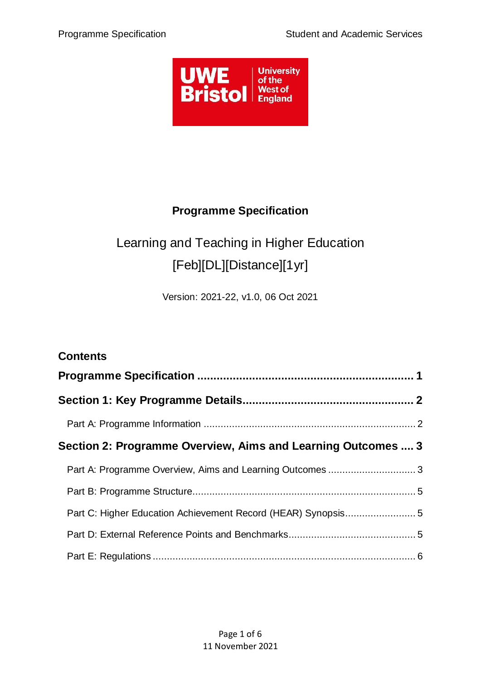

# **Programme Specification**

# <span id="page-0-0"></span>Learning and Teaching in Higher Education [Feb][DL][Distance][1yr]

Version: 2021-22, v1.0, 06 Oct 2021

| <b>Contents</b>                                              |  |
|--------------------------------------------------------------|--|
|                                                              |  |
|                                                              |  |
|                                                              |  |
| Section 2: Programme Overview, Aims and Learning Outcomes  3 |  |
|                                                              |  |
|                                                              |  |
|                                                              |  |
|                                                              |  |
|                                                              |  |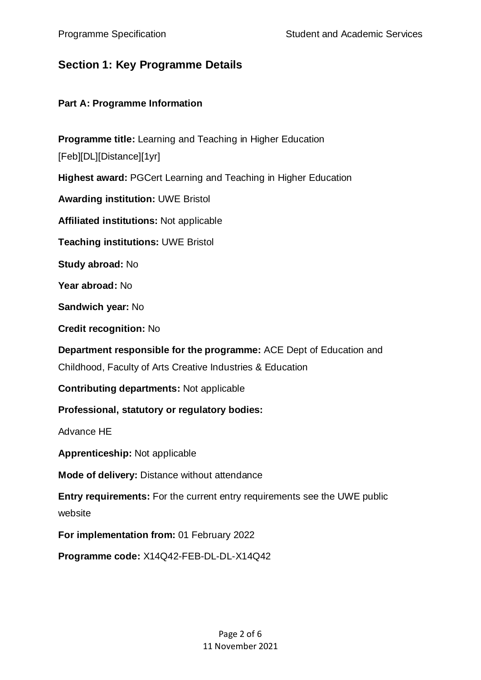### <span id="page-1-0"></span>**Section 1: Key Programme Details**

#### <span id="page-1-1"></span>**Part A: Programme Information**

**Programme title:** Learning and Teaching in Higher Education [Feb][DL][Distance][1yr] **Highest award:** PGCert Learning and Teaching in Higher Education **Awarding institution:** UWE Bristol **Affiliated institutions:** Not applicable **Teaching institutions:** UWE Bristol **Study abroad:** No **Year abroad:** No **Sandwich year:** No **Credit recognition:** No **Department responsible for the programme:** ACE Dept of Education and Childhood, Faculty of Arts Creative Industries & Education **Contributing departments:** Not applicable **Professional, statutory or regulatory bodies:** Advance HE **Apprenticeship:** Not applicable **Mode of delivery:** Distance without attendance **Entry requirements:** For the current entry requirements see the UWE public website **For implementation from:** 01 February 2022 **Programme code:** X14Q42-FEB-DL-DL-X14Q42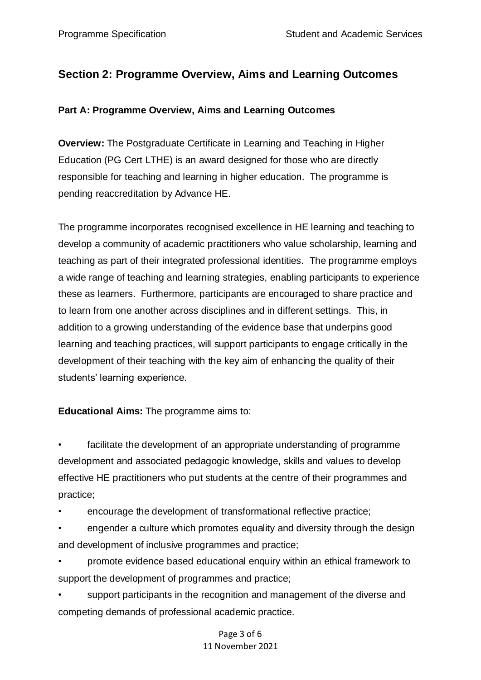## <span id="page-2-0"></span>**Section 2: Programme Overview, Aims and Learning Outcomes**

#### <span id="page-2-1"></span>**Part A: Programme Overview, Aims and Learning Outcomes**

**Overview:** The Postgraduate Certificate in Learning and Teaching in Higher Education (PG Cert LTHE) is an award designed for those who are directly responsible for teaching and learning in higher education. The programme is pending reaccreditation by Advance HE.

The programme incorporates recognised excellence in HE learning and teaching to develop a community of academic practitioners who value scholarship, learning and teaching as part of their integrated professional identities. The programme employs a wide range of teaching and learning strategies, enabling participants to experience these as learners. Furthermore, participants are encouraged to share practice and to learn from one another across disciplines and in different settings. This, in addition to a growing understanding of the evidence base that underpins good learning and teaching practices, will support participants to engage critically in the development of their teaching with the key aim of enhancing the quality of their students' learning experience.

#### **Educational Aims:** The programme aims to:

facilitate the development of an appropriate understanding of programme development and associated pedagogic knowledge, skills and values to develop effective HE practitioners who put students at the centre of their programmes and practice;

• encourage the development of transformational reflective practice;

• engender a culture which promotes equality and diversity through the design and development of inclusive programmes and practice;

• promote evidence based educational enquiry within an ethical framework to support the development of programmes and practice;

support participants in the recognition and management of the diverse and competing demands of professional academic practice.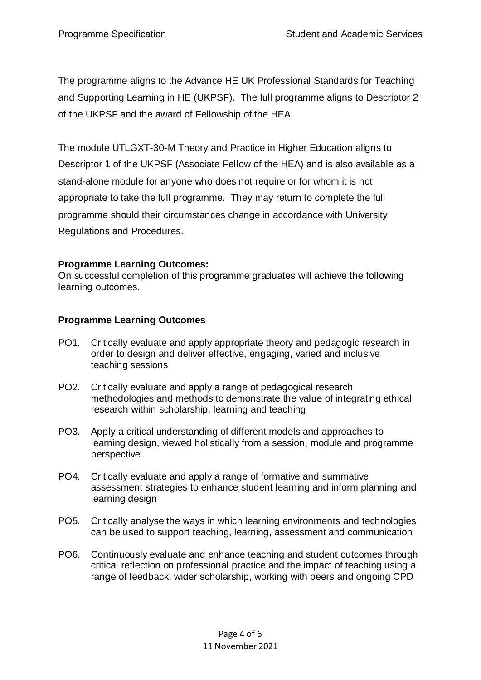The programme aligns to the Advance HE UK Professional Standards for Teaching and Supporting Learning in HE (UKPSF). The full programme aligns to Descriptor 2 of the UKPSF and the award of Fellowship of the HEA.

The module UTLGXT-30-M Theory and Practice in Higher Education aligns to Descriptor 1 of the UKPSF (Associate Fellow of the HEA) and is also available as a stand-alone module for anyone who does not require or for whom it is not appropriate to take the full programme. They may return to complete the full programme should their circumstances change in accordance with University Regulations and Procedures.

#### **Programme Learning Outcomes:**

On successful completion of this programme graduates will achieve the following learning outcomes.

#### **Programme Learning Outcomes**

- PO1. Critically evaluate and apply appropriate theory and pedagogic research in order to design and deliver effective, engaging, varied and inclusive teaching sessions
- PO2. Critically evaluate and apply a range of pedagogical research methodologies and methods to demonstrate the value of integrating ethical research within scholarship, learning and teaching
- PO3. Apply a critical understanding of different models and approaches to learning design, viewed holistically from a session, module and programme perspective
- PO4. Critically evaluate and apply a range of formative and summative assessment strategies to enhance student learning and inform planning and learning design
- PO5. Critically analyse the ways in which learning environments and technologies can be used to support teaching, learning, assessment and communication
- PO6. Continuously evaluate and enhance teaching and student outcomes through critical reflection on professional practice and the impact of teaching using a range of feedback, wider scholarship, working with peers and ongoing CPD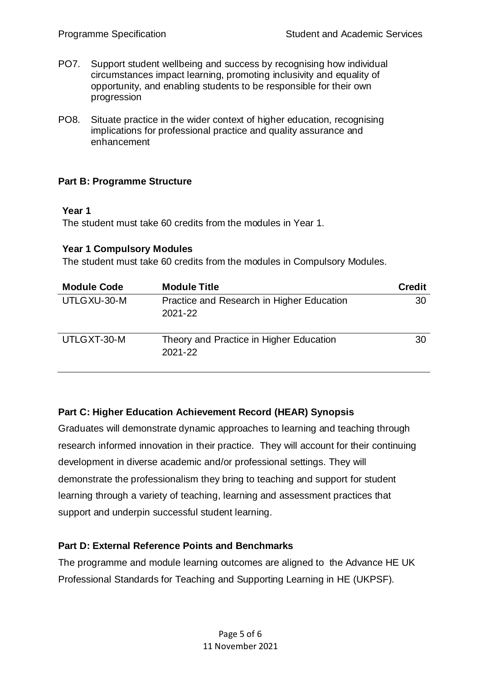- PO7. Support student wellbeing and success by recognising how individual circumstances impact learning, promoting inclusivity and equality of opportunity, and enabling students to be responsible for their own progression
- PO8. Situate practice in the wider context of higher education, recognising implications for professional practice and quality assurance and enhancement

#### <span id="page-4-0"></span>**Part B: Programme Structure**

#### **Year 1**

The student must take 60 credits from the modules in Year 1.

#### **Year 1 Compulsory Modules**

The student must take 60 credits from the modules in Compulsory Modules.

| <b>Module Code</b> | <b>Module Title</b>                                  | <b>Credit</b> |
|--------------------|------------------------------------------------------|---------------|
| UTLGXU-30-M        | Practice and Research in Higher Education<br>2021-22 | 30            |
| UTLGXT-30-M        | Theory and Practice in Higher Education<br>2021-22   | 30            |

#### <span id="page-4-1"></span>**Part C: Higher Education Achievement Record (HEAR) Synopsis**

Graduates will demonstrate dynamic approaches to learning and teaching through research informed innovation in their practice. They will account for their continuing development in diverse academic and/or professional settings. They will demonstrate the professionalism they bring to teaching and support for student learning through a variety of teaching, learning and assessment practices that support and underpin successful student learning.

#### <span id="page-4-2"></span>**Part D: External Reference Points and Benchmarks**

The programme and module learning outcomes are aligned to the Advance HE UK Professional Standards for Teaching and Supporting Learning in HE (UKPSF).